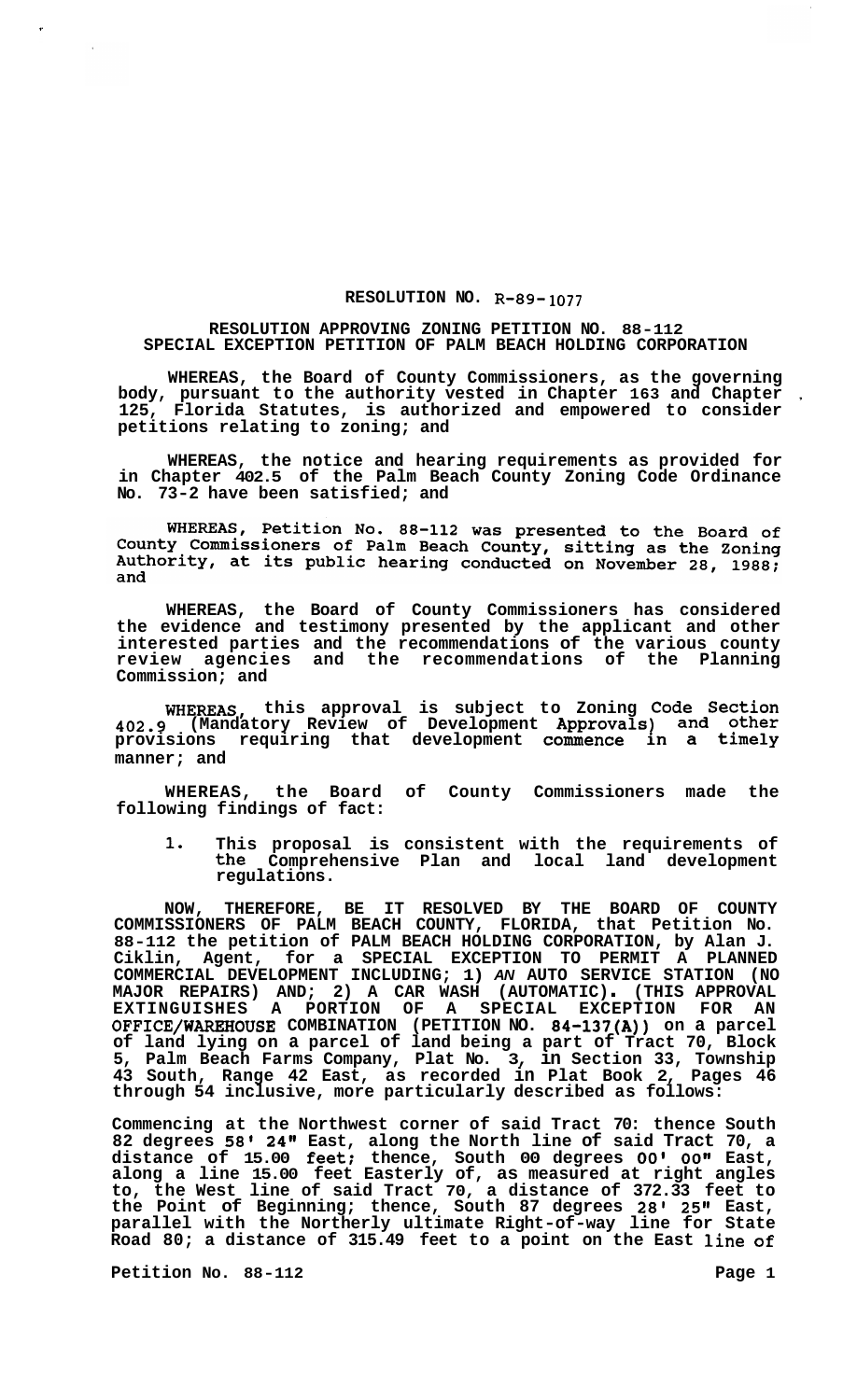## **RESOLUTION NO. R-89- 1077**

## **RESOLUTION APPROVING ZONING PETITION NO. 88-112 SPECIAL EXCEPTION PETITION OF PALM BEACH HOLDING CORPORATION**

**WHEREAS, the Board of County Commissioners, as the governing body, pursuant to the authority vested in Chapter 163 and Chapter** , **125, Florida Statutes, is authorized and empowered to consider petitions relating to zoning; and** 

**WHEREAS, the notice and hearing requirements as provided for in Chapter 402.5 of the Palm Beach County Zoning Code Ordinance No. 73-2 have been satisfied; and** 

WHEREAS, Petition No. 88-112 was presented to the Board of County Commissioners of Palm Beach County, sitting as the Zoning<br>Authority, at its public hearing conducted on November 28, 1988; and

**WHEREAS, the Board of County Commissioners has considered the evidence and testimony presented by the applicant and other interested parties and the recommendations of the various county review agencies and the recommendations of the Planning Commission; and** 

**WHEREAS, this approval is subject to Zoning Code Section 402.9 (Mandatory Review of Development Approvals) and other provisions requiring that development commence in a timely manner; and** 

**WHEREAS, the Board of County Commissioners made the following findings of fact:** 

**1. This proposal is consistent with the requirements of the Comprehensive Plan and local land development regulations.** 

**NOW, THEREFORE, BE IT RESOLVED BY THE BOARD OF COUNTY COMMISSIONERS OF PALM BEACH COUNTY, FLORIDA, that Petition No. 88-112 the petition of PALM BEACH HOLDING CORPORATION, by Alan J. Ciklin, Agent, for a SPECIAL EXCEPTION TO PERMIT A PLANNED COMMERCIAL DEVELOPMENT INCLUDING; 1)** *AN* **AUTO SERVICE STATION (NO MAJOR REPAIRS) AND; 2) A CAR WASH (AUTOMATIC)** . **(THIS APPROVAL EXTINGUISHES A PORTION OF A SPECIAL EXCEPTION FOR AN OFFICE/WAREHOUSE COMBINATION (PETITION NO. 84-137(A)) on a parcel of land lying on a parcel of land being a part of Tract 70, Block 5, Palm Beach Farms Company, Plat No. 3, in Section 33, Township 43 South, Range 42 East, as recorded in Plat Book 2, Pages 46 through 54 inclusive, more particularly described as follows:** 

**Commencing at the Northwest corner of said Tract 70: thence South 82 degrees 58' 24" East, along the North line of said Tract 70, a distance of 15.00 feet; thence, South 00 degrees** *00' 00"* **East, along a line 15.00 feet Easterly of, as measured at right angles to, the West line of said Tract 70, a distance of 372.33 feet to the Point of Beginning; thence, South 87 degrees 28' 25" East, parallel with the Northerly ultimate Right-of-way line for State Road 80; a distance of 315.49 feet to a point on the East line of** 

**Petition No. 88-112 Page 1**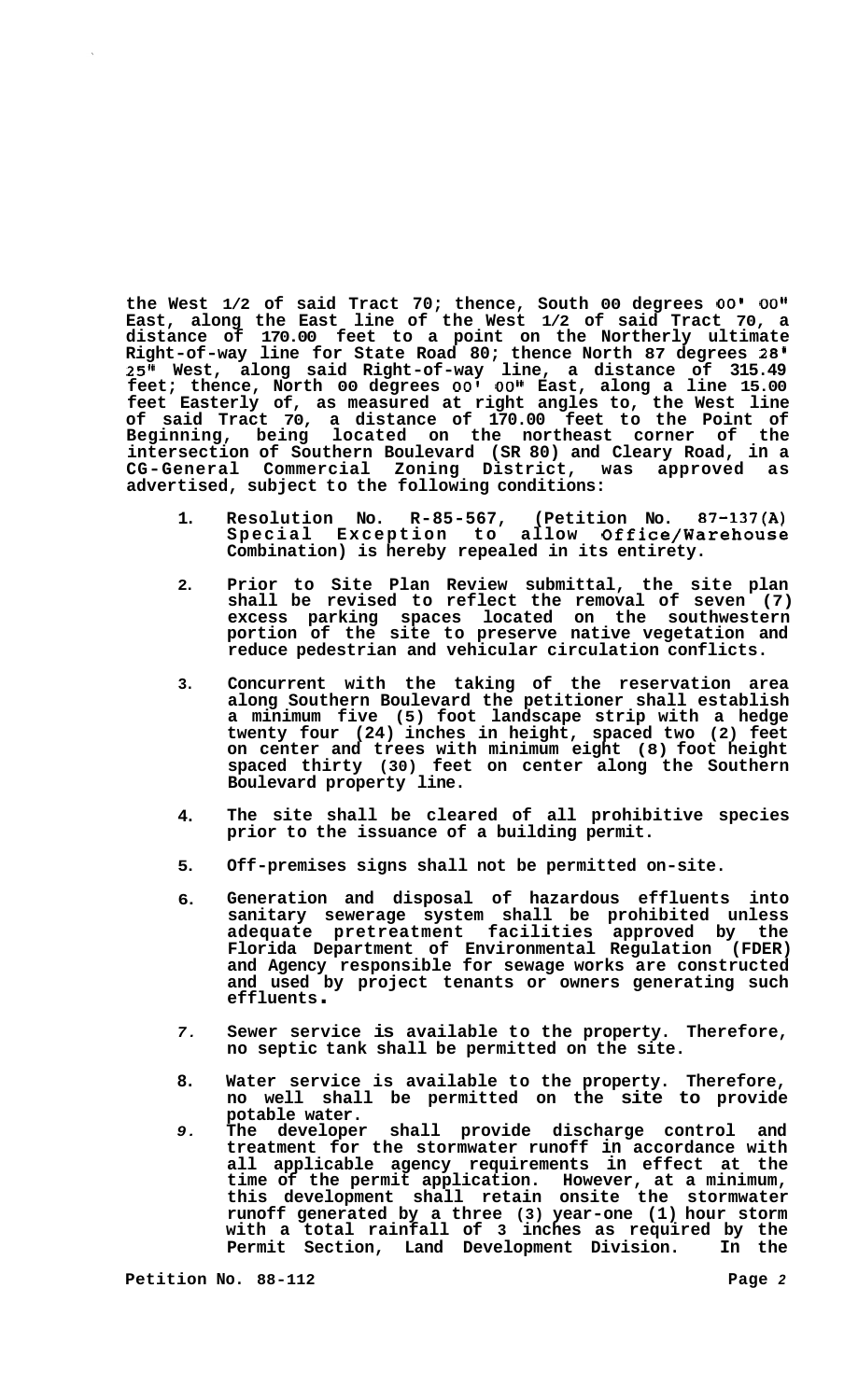**the West 1/2 of said Tract 70; thence, South 00 degrees 00' 00" East, along the East line of the West 1/2 of said Tract 70, a distance of 170.00 feet to a point on the Northerly ultimate Right-of-way line for State Road 80; thence North 87 degrees 28' 25" West, along said Right-of-way line, a distance of 315.49**  feet; thence, North 00 degrees 00' 00" East, along a line 15.00 **feet Easterly of, as measured at right angles to, the West line of said Tract 70, a distance of 170.00 feet to the Point of Beginning, being located on the northeast corner of the intersection of Southern Boulevard (SR 80) and Cleary Road, in a CG-General Commercial Zoning District, was approved as advertised, subject to the following conditions:** 

- **1. Resolution No. R-85-567, (Petition No. 87-137(A) Special Exception to allow Office/Warehouse Combination) is hereby repealed in its entirety.**
- **2. Prior to Site Plan Review submittal, the site plan shall be revised to reflect the removal of seven (7) excess parking spaces located on the southwestern portion of the site to preserve native vegetation and reduce pedestrian and vehicular circulation conflicts.**
- **3. Concurrent with the taking of the reservation area along Southern Boulevard the petitioner shall establish a minimum five (5) foot landscape strip with a hedge twenty four (24) inches in height, spaced two (2) feet on center and trees with minimum eight (8) foot height spaced thirty (30) feet on center along the Southern Boulevard property line.**
- **4. The site shall be cleared of all prohibitive species prior to the issuance of a building permit.**
- **5. Off-premises signs shall not be permitted on-site.**
- **6. Generation and disposal of hazardous effluents into sanitary sewerage system shall be prohibited unless adequate pretreatment facilities approved by the Florida Department of Environmental Regulation (FDER) and Agency responsible for sewage works are constructed and used by project tenants or owners generating such effluents** .
- *7.*  **Sewer service is available to the property. Therefore, no septic tank shall be permitted on the site.**
- **8. Water service is available to the property. Therefore, no well shall be permitted on the site to provide potable water.**
- *9.*  shall provide discharge control and **treatment for the stormwater runoff in accordance with all applicable agency requirements in effect at the time of the permit application. However, at a minimum, this development shall retain onsite the stormwater runoff generated by a three (3) year-one (1) hour storm with a total rainfall of 3 inches as required by the Permit Section, Land Development Division. In the**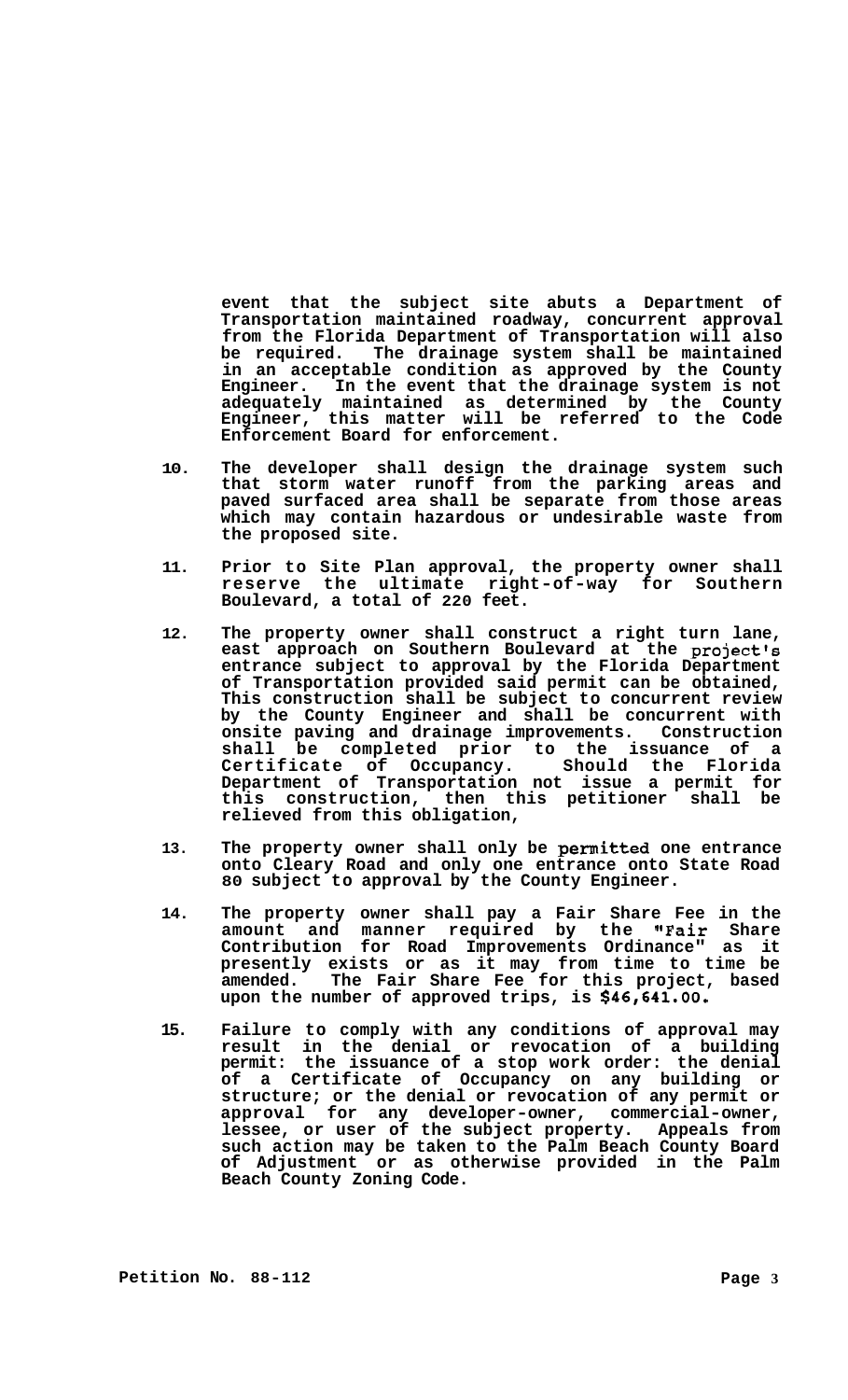**event that the subject site abuts a Department of Transportation maintained roadway, concurrent approval from the Florida Department of Transportation will also be required. The drainage system shall be maintained in an acceptable condition as approved by the County Engineer. In the event that the drainage system is not adequately maintained as determined by the County Engineer, this matter will be referred to the Code Enforcement Board for enforcement.** 

- **10. The developer shall design the drainage system such that storm water runoff from the parking areas and paved surfaced area shall be separate from those areas which may contain hazardous or undesirable waste from the proposed site.**
- **11. Prior to Site Plan approval, the property owner shall reserve the ultimate right-of-way for Southern Boulevard, a total of 220 feet.**
- **12. The property owner shall construct a right turn lane, east approach on Southern Boulevard at the project's entrance subject to approval by the Florida Department of Transportation provided said permit can be obtained, This construction shall be subject to concurrent review by the County Engineer and shall be concurrent with onsite paving and drainage improvements. Construction shall be completed prior to the issuance of a Certificate of Occupancy. Should the Florida Department of Transportation not issue a permit for this construction, then this petitioner shall be relieved from this obligation,**
- **13. The property owner shall only be permitted one entrance onto Cleary Road and only one entrance onto State Road 80 subject to approval by the County Engineer.**
- **14. The property owner shall pay a Fair Share Fee in the amount and manner required by the "Fair Share Contribution for Road Improvements Ordinance" as it presently exists or as it may from time to time be amended. The Fair Share Fee for this project, based upon the number of approved trips, is \$46,641.00.**
- **15. Failure to comply with any conditions of approval may result in the denial or revocation of a building permit: the issuance of a stop work order: the denial of a Certificate of Occupancy on any building or structure; or the denial or revocation of any permit or approval for any developer-owner, commercial-owner, lessee, or user of the subject property. Appeals from such action may be taken to the Palm Beach County Board of Adjustment or as otherwise provided in the Palm Beach County Zoning Code.**